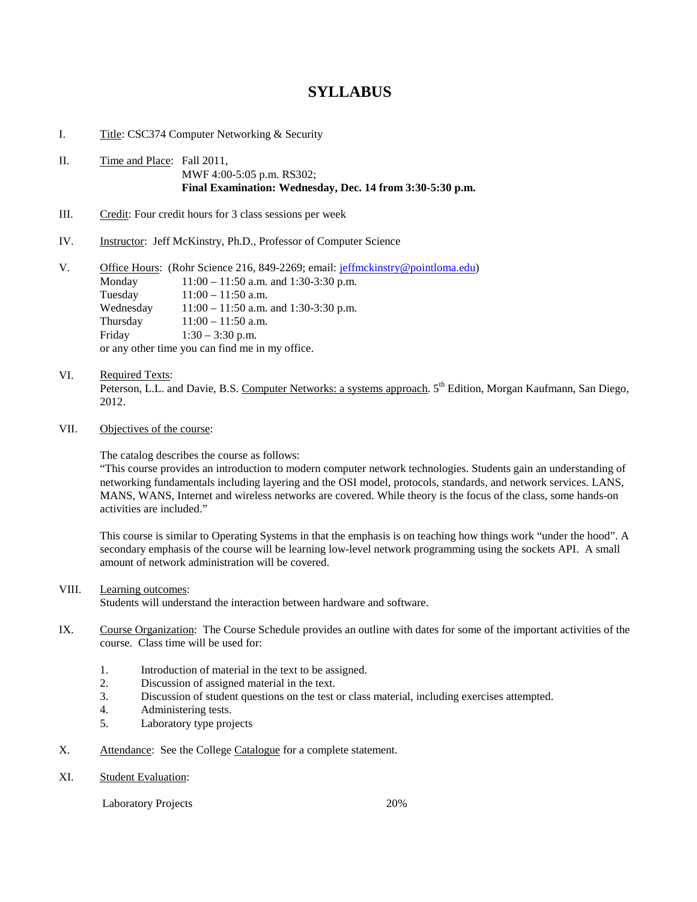# **SYLLABUS**

I. Title: CSC374 Computer Networking & Security

### II. Time and Place: Fall 2011, MWF 4:00-5:05 p.m. RS302; **Final Examination: Wednesday, Dec. 14 from 3:30-5:30 p.m.**

- III. Credit: Four credit hours for 3 class sessions per week
- IV. Instructor: Jeff McKinstry, Ph.D., Professor of Computer Science

| V. |                                                 | Office Hours: (Rohr Science 216, 849-2269; email: jeffmckinstry@pointloma.edu) |
|----|-------------------------------------------------|--------------------------------------------------------------------------------|
|    | Monday                                          | $11:00 - 11:50$ a.m. and 1:30-3:30 p.m.                                        |
|    | Tuesday                                         | $11:00 - 11:50$ a.m.                                                           |
|    | Wednesday                                       | $11:00 - 11:50$ a.m. and 1:30-3:30 p.m.                                        |
|    | Thursday                                        | $11:00 - 11:50$ a.m.                                                           |
|    | Friday                                          | $1:30 - 3:30$ p.m.                                                             |
|    | or any other time you can find me in my office. |                                                                                |

### VI. Required Texts:

Peterson, L.L. and Davie, B.S. Computer Networks: a systems approach. 5<sup>th</sup> Edition, Morgan Kaufmann, San Diego, 2012.

## VII. Objectives of the course:

The catalog describes the course as follows:

"This course provides an introduction to modern computer network technologies. Students gain an understanding of networking fundamentals including layering and the OSI model, protocols, standards, and network services. LANS, MANS, WANS, Internet and wireless networks are covered. While theory is the focus of the class, some hands-on activities are included."

This course is similar to Operating Systems in that the emphasis is on teaching how things work "under the hood". A secondary emphasis of the course will be learning low-level network programming using the sockets API. A small amount of network administration will be covered.

#### VIII. Learning outcomes:

Students will understand the interaction between hardware and software.

- IX. Course Organization: The Course Schedule provides an outline with dates for some of the important activities of the course. Class time will be used for:
	- 1. Introduction of material in the text to be assigned.
	- 2. Discussion of assigned material in the text.
	- 3. Discussion of student questions on the test or class material, including exercises attempted.
	- 4. Administering tests.
	- 5. Laboratory type projects
- X. Attendance: See the College Catalogue for a complete statement.
- XI. Student Evaluation:

Laboratory Projects 20%